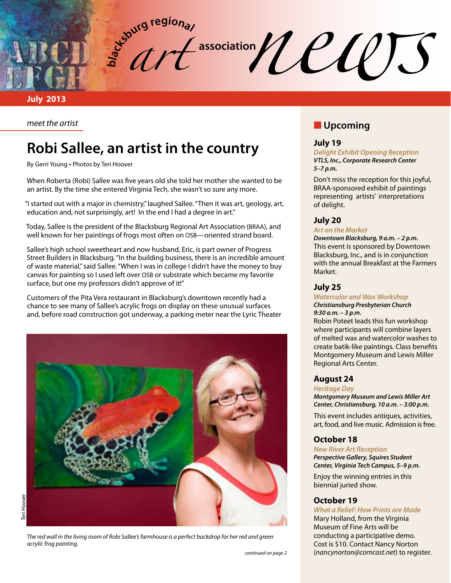association*news* (*CLUTS* **b**<sub>d</sub><sub>c</sub><sup>butg regional</sup>

*art* 

**July 2013**

*meet the artist*

# **Robi Sallee, an artist in the country**

By Gerri Young • Photos by Teri Hoover

When Roberta (Robi) Sallee was five years old she told her mother she wanted to be an artist. By the time she entered Virginia Tech, she wasn't so sure any more.

"I started out with a major in chemistry," laughed Sallee. "Then it was art, geology, art, education and, not surprisingly, art! In the end I had a degree in art."

Today, Sallee is the president of the Blacksburg Regional Art Association (BRAA), and well known for her paintings of frogs most often on OSB—oriented strand board.

Sallee's high school sweetheart and now husband, Eric, is part owner of Progress Street Builders in Blacksburg. "In the building business, there is an incredible amount of waste material," said Sallee. "When I was in college I didn't have the money to buy canvas for painting so I used left over OSB or substrate which became my favorite surface, but one my professors didn't approve of it!"

Customers of the Pita Vera restaurant in Blacksburg's downtown recently had a chance to see many of Sallee's acrylic frogs on display on these unusual surfaces and, before road construction got underway, a parking meter near the Lyric Theater



*The red wall in the living room of Robi Sallee's farmhouse is a perfect backdrop for her red and green acrylic frog painting.* 

# **N** Upcoming

## **July 19**

*Delight Exhibit Opening Reception VTLS, Inc., Corporate Research Center 5–7 p.m.*

Don't miss the reception for this joyful, BRAA-sponsored exhibit of paintings representing artists' interpretations of delight.

### **July 20**

#### *Art on the Market*

*Downtown Blacksburg, 9 a.m. – 2 p.m.* This event is sponsored by Downtown Blacksburg, Inc., and is in conjunction with the annual Breakfast at the Farmers Market.

### **July 25**

#### *Watercolor and Wax Workshop*

#### *Christiansburg Presbyterian Church 9:30 a.m. – 3 p.m.*

Robin Poteet leads this fun workshop where participants will combine layers of melted wax and watercolor washes to create batik-like paintings. Class benefits Montgomery Museum and Lewis Miller Regional Arts Center.

#### **August 24**

#### *Heritage Day*

*Montgomery Museum and Lewis Miller Art Center, Christiansburg, 10 a.m. – 3:00 p.m.*

This event includes antiques, activities, art, food, and live music. Admission is free.

#### **October 18**

*New River Art Reception Perspective Gallery, Squires Student Center, Virginia Tech Campus, 5–9 p.m.*

Enjoy the winning entries in this biennial juried show.

#### **October 19**

#### *What a Relief: How Prints are Made* Mary Holland, from the Virginia

Museum of Fine Arts will be conducting a participative demo. Cost is \$10. Contact Nancy Norton (*nancynorton@comcast.net*) to register.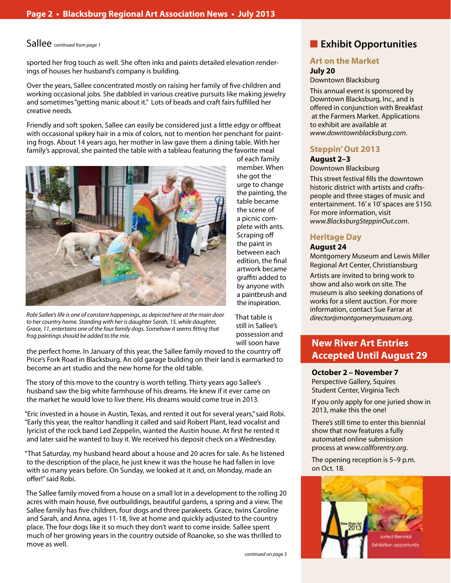## Sallee *continued from page 1*

sported her frog touch as well. She often inks and paints detailed elevation renderings of houses her husband's company is building.

Over the years, Sallee concentrated mostly on raising her family of five children and working occasional jobs. She dabbled in various creative pursuits like making jewelry and sometimes "getting manic about it." Lots of beads and craft fairs fulfilled her creative needs.

Friendly and soft spoken, Sallee can easily be considered just a little edgy or offbeat with occasional spikey hair in a mix of colors, not to mention her penchant for painting frogs. About 14 years ago, her mother in law gave them a dining table. With her family's approval, she painted the table with a tableau featuring the favorite meal



*Robi Sallee's life is one of constant happenings, as depicted here at the main door to her country home. Standing with her is daughter Sarah, 15, while daughter, Grace, 11, entertains one of the four family dogs. Somehow it seems fitting that frog paintings should be added to the mix.* 

of each family member. When she got the urge to change the painting, the table became the scene of a picnic complete with ants. Scraping off the paint in between each edition, the final artwork became graffiti added to by anyone with a paintbrush and the inspiration.

That table is still in Sallee's possession and will soon have

the perfect home. In January of this year, the Sallee family moved to the country off Price's Fork Road in Blacksburg. An old garage building on their land is earmarked to become an art studio and the new home for the old table.

The story of this move to the country is worth telling. Thirty years ago Sallee's husband saw the big white farmhouse of his dreams. He knew if it ever came on the market he would love to live there. His dreams would come true in 2013.

"Eric invested in a house in Austin, Texas, and rented it out for several years," said Robi. "Early this year, the realtor handling it called and said Robert Plant, lead vocalist and lyricist of the rock band Led Zeppelin, wanted the Austin house. At first he rented it and later said he wanted to buy it. We received his deposit check on a Wednesday.

"That Saturday, my husband heard about a house and 20 acres for sale. As he listened to the description of the place, he just knew it was the house he had fallen in love with so many years before. On Sunday, we looked at it and, on Monday, made an offer!" said Robi.

The Sallee family moved from a house on a small lot in a development to the rolling 20 acres with main house, five outbuildings, beautiful gardens, a spring and a view. The Sallee family has five children, four dogs and three parakeets. Grace, twins Caroline and Sarah, and Anna, ages 11-18, live at home and quickly adjusted to the country place. The four dogs like it so much they don't want to come inside. Sallee spent much of her growing years in the country outside of Roanoke, so she was thrilled to move as well.

*continued on page 3*

# **n** Exhibit Opportunities

## **Art on the Market**

## **July 20**

#### Downtown Blacksburg

This annual event is sponsored by Downtown Blacksburg, Inc., and is offered in conjunction with Breakfast at the Farmers Market. Applications to exhibit are available at *www.downtownblacksburg.com*.

## **Steppin' Out 2013**

## **August 2–3**

#### Downtown Blacksburg

This street festival fills the downtown historic district with artists and craftspeople and three stages of music and entertainment. 16' x 10' spaces are \$150. For more information, visit *www.BlacksburgSteppinOut.com*.

## **Heritage Day**

## **August 24**

Montgomery Museum and Lewis Miller Regional Art Center, Christiansburg

Artists are invited to bring work to show and also work on site. The museum is also seeking donations of works for a silent auction. For more information, contact Sue Farrar at *director@montgomerymuseum.org*.

## **New River Art Entries Accepted Until August 29**

#### **October 2 – November 7**

Perspective Gallery, Squires Student Center, Virginia Tech

If you only apply for one juried show in 2013, make this the one!

There's still time to enter this biennial show that now features a fully automated online submission process at *www.callforentry.org*.

The opening reception is 5–9 p.m. on Oct. 18.

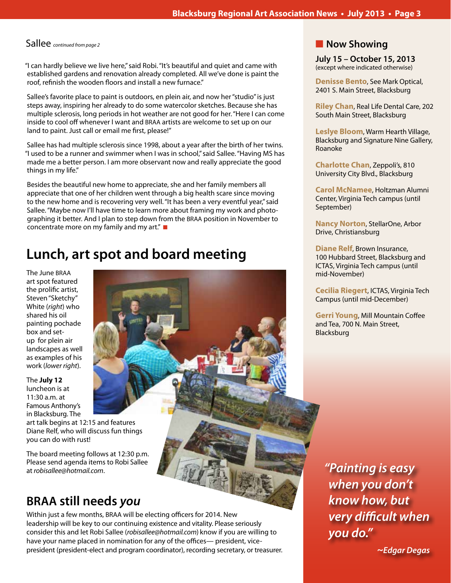"I can hardly believe we live here," said Robi. "It's beautiful and quiet and came with established gardens and renovation already completed. All we've done is paint the roof, refinish the wooden floors and install a new furnace."

Sallee's favorite place to paint is outdoors, en plein air, and now her "studio" is just steps away, inspiring her already to do some watercolor sketches. Because she has multiple sclerosis, long periods in hot weather are not good for her. "Here I can come inside to cool off whenever I want and BRAA artists are welcome to set up on our land to paint. Just call or email me first, please!"

Sallee has had multiple sclerosis since 1998, about a year after the birth of her twins. "I used to be a runner and swimmer when I was in school," said Sallee. "Having MS has made me a better person. I am more observant now and really appreciate the good things in my life."

Besides the beautiful new home to appreciate, she and her family members all appreciate that one of her children went through a big health scare since moving to the new home and is recovering very well. "It has been a very eventful year," said Sallee. "Maybe now I'll have time to learn more about framing my work and photographing it better. And I plan to step down from the BRAA position in November to concentrate more on my family and my art." $\blacksquare$ 

# **Lunch, art spot and board meeting**

The June BRAA art spot featured the prolific artist, Steven "Sketchy" White (*right*) who shared his oil painting pochade box and setup for plein air landscapes as well as examples of his work (*lower right*).

The **July 12** luncheon is at 11:30 a.m. at Famous Anthony's in Blacksburg. The

art talk begins at 12:15 and features Diane Relf, who will discuss fun things you can do with rust!

The board meeting follows at 12:30 p.m. Please send agenda items to Robi Sallee at *robisallee@hotmail.com*.

# **BRAA still needs** *you*

Within just a few months, BRAA will be electing officers for 2014. New leadership will be key to our continuing existence and vitality. Please seriously consider this and let Robi Sallee (*robisallee@hotmail.com*) know if you are willing to have your name placed in nomination for any of the offices— president, vicepresident (president-elect and program coordinator), recording secretary, or treasurer.

## Sallee *continued from page 2* n Now Showing

**July 15 – October 15, 2013** (except where indicated otherwise)

**Denisse Bento**, See Mark Optical, 2401 S. Main Street, Blacksburg

**Riley Chan**, Real Life Dental Care, 202 South Main Street, Blacksburg

**Leslye Bloom**, Warm Hearth Village, Blacksburg and Signature Nine Gallery, Roanoke

**Charlotte Chan**, Zeppoli's, 810 University City Blvd., Blacksburg

**Carol McNamee**, Holtzman Alumni Center, Virginia Tech campus (until September)

**Nancy Norton**, StellarOne, Arbor Drive, Christiansburg

**Diane Relf**, Brown Insurance, 100 Hubbard Street, Blacksburg and ICTAS, Virginia Tech campus (until mid-November)

**Cecilia Riegert**, ICTAS, Virginia Tech Campus (until mid-December)

**Gerri Young**, Mill Mountain Coffee and Tea, 700 N. Main Street, Blacksburg

*"Painting is easy when you don't know how, but very difficult when you do."* 

 *~Edgar Degas*